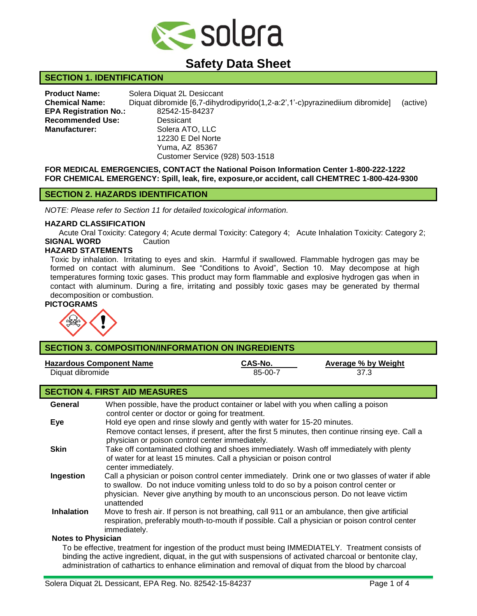

# **Safety Data Sheet**

# **SECTION 1. IDENTIFICATION**

**Product Name:** Solera Diquat 2L Desiccant **Chemical Name:** Diquat dibromide [6,7-dihydrodipyrido(1,2-a:2',1'-c)pyrazinediium dibromide] (active) **EPA Registration No.:** 82542-15-84237 **Recommended Use:** Dessicant **Manufacturer:** Solera ATO, LLC 12230 E Del Norte Yuma, AZ 85367 Customer Service (928) 503-1518

**FOR MEDICAL EMERGENCIES, CONTACT the National Poison Information Center 1-800-222-1222 FOR CHEMICAL EMERGENCY: Spill, leak, fire, exposure,or accident, call CHEMTREC 1-800-424-9300**

# **SECTION 2. HAZARDS IDENTIFICATION**

*NOTE: Please refer to Section 11 for detailed toxicological information.*

#### **HAZARD CLASSIFICATION**

Acute Oral Toxicity: Category 4; Acute dermal Toxicity: Category 4; Acute Inhalation Toxicity: Category 2; **SIGNAL WORD** Caution

## **HAZARD STATEMENTS**

Toxic by inhalation. Irritating to eyes and skin. Harmful if swallowed. Flammable hydrogen gas may be formed on contact with aluminum. See "Conditions to Avoid", Section 10. May decompose at high temperatures forming toxic gases. This product may form flammable and explosive hydrogen gas when in contact with aluminum. During a fire, irritating and possibly toxic gases may be generated by thermal decomposition or combustion.

#### **PICTOGRAMS**



| <b>SECTION 3. COMPOSITION/INFORMATION ON INGREDIENTS</b>                                              |                                                                                                                                                    |                    |                                    |  |  |  |
|-------------------------------------------------------------------------------------------------------|----------------------------------------------------------------------------------------------------------------------------------------------------|--------------------|------------------------------------|--|--|--|
| <b>Hazardous Component Name</b><br>Diquat dibromide                                                   |                                                                                                                                                    | CAS-No.<br>85-00-7 | <b>Average % by Weight</b><br>37.3 |  |  |  |
| <b>SECTION 4. FIRST AID MEASURES</b>                                                                  |                                                                                                                                                    |                    |                                    |  |  |  |
| General                                                                                               | When possible, have the product container or label with you when calling a poison                                                                  |                    |                                    |  |  |  |
|                                                                                                       | control center or doctor or going for treatment.                                                                                                   |                    |                                    |  |  |  |
| Eye                                                                                                   | Hold eye open and rinse slowly and gently with water for 15-20 minutes.                                                                            |                    |                                    |  |  |  |
|                                                                                                       | Remove contact lenses, if present, after the first 5 minutes, then continue rinsing eye. Call a<br>physician or poison control center immediately. |                    |                                    |  |  |  |
| <b>Skin</b><br>Take off contaminated clothing and shoes immediately. Wash off immediately with plenty |                                                                                                                                                    |                    |                                    |  |  |  |
|                                                                                                       | of water for at least 15 minutes. Call a physician or poison control                                                                               |                    |                                    |  |  |  |
| Ingestion                                                                                             | center immediately.<br>Call a physician or poison control center immediately. Drink one or two glasses of water if able                            |                    |                                    |  |  |  |
|                                                                                                       | to swallow. Do not induce vomiting unless told to do so by a poison control center or                                                              |                    |                                    |  |  |  |
|                                                                                                       | physician. Never give anything by mouth to an unconscious person. Do not leave victim                                                              |                    |                                    |  |  |  |
|                                                                                                       | unattended                                                                                                                                         |                    |                                    |  |  |  |
| <b>Inhalation</b>                                                                                     | Move to fresh air. If person is not breathing, call 911 or an ambulance, then give artificial                                                      |                    |                                    |  |  |  |
|                                                                                                       | respiration, preferably mouth-to-mouth if possible. Call a physician or poison control center<br>immediately.                                      |                    |                                    |  |  |  |
| <b>Notes to Physician</b>                                                                             |                                                                                                                                                    |                    |                                    |  |  |  |
| To be effective, treatment for ingestion of the product must being IMMEDIATELY. Treatment consists of |                                                                                                                                                    |                    |                                    |  |  |  |
|                                                                                                       | binding the active ingredient, diquat, in the gut with suspensions of activated charcoal or bentonite clay,                                        |                    |                                    |  |  |  |

administration of cathartics to enhance elimination and removal of diquat from the blood by charcoal

### Solera Diguat 2L Dessicant, EPA Reg. No. 82542-15-84237 Page 1 of 4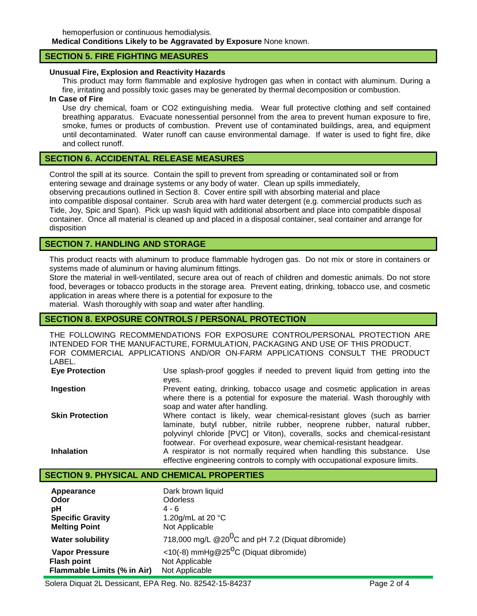hemoperfusion or continuous hemodialysis. **Medical Conditions Likely to be Aggravated by Exposure** None known.

### **SECTION 5. FIRE FIGHTING MEASURES**

### **Unusual Fire, Explosion and Reactivity Hazards**

This product may form flammable and explosive hydrogen gas when in contact with aluminum. During a fire, irritating and possibly toxic gases may be generated by thermal decomposition or combustion.

### **In Case of Fire**

Use dry chemical, foam or CO2 extinguishing media. Wear full protective clothing and self contained breathing apparatus. Evacuate nonessential personnel from the area to prevent human exposure to fire, smoke, fumes or products of combustion. Prevent use of contaminated buildings, area, and equipment until decontaminated. Water runoff can cause environmental damage. If water is used to fight fire, dike and collect runoff.

## **SECTION 6. ACCIDENTAL RELEASE MEASURES**

Control the spill at its source. Contain the spill to prevent from spreading or contaminated soil or from entering sewage and drainage systems or any body of water. Clean up spills immediately, observing precautions outlined in Section 8. Cover entire spill with absorbing material and place into compatible disposal container. Scrub area with hard water detergent (e.g. commercial products such as Tide, Joy, Spic and Span). Pick up wash liquid with additional absorbent and place into compatible disposal container. Once all material is cleaned up and placed in a disposal container, seal container and arrange for disposition

# **SECTION 7. HANDLING AND STORAGE**

This product reacts with aluminum to produce flammable hydrogen gas. Do not mix or store in containers or systems made of aluminum or having aluminum fittings.

Store the material in well-ventilated, secure area out of reach of children and domestic animals. Do not store food, beverages or tobacco products in the storage area. Prevent eating, drinking, tobacco use, and cosmetic application in areas where there is a potential for exposure to the material. Wash thoroughly with soap and water after handling.

## **SECTION 8. EXPOSURE CONTROLS / PERSONAL PROTECTION**

THE FOLLOWING RECOMMENDATIONS FOR EXPOSURE CONTROL/PERSONAL PROTECTION ARE INTENDED FOR THE MANUFACTURE, FORMULATION, PACKAGING AND USE OF THIS PRODUCT. FOR COMMERCIAL APPLICATIONS AND/OR ON-FARM APPLICATIONS CONSULT THE PRODUCT LABEL. **Eye Protection** Use splash-proof goggles if needed to prevent liquid from getting into the

| Eve Protection         | Use splash-proof goggles if heeded to prevent liquid from getting into the  |
|------------------------|-----------------------------------------------------------------------------|
|                        | eyes.                                                                       |
| Ingestion              | Prevent eating, drinking, tobacco usage and cosmetic application in areas   |
|                        | where there is a potential for exposure the material. Wash thoroughly with  |
|                        | soap and water after handling.                                              |
| <b>Skin Protection</b> | Where contact is likely, wear chemical-resistant gloves (such as barrier    |
|                        | laminate, butyl rubber, nitrile rubber, neoprene rubber, natural rubber,    |
|                        | polyvinyl chloride [PVC] or Viton), coveralls, socks and chemical-resistant |
|                        | footwear. For overhead exposure, wear chemical-resistant headgear.          |
| <b>Inhalation</b>      | A respirator is not normally required when handling this substance. Use     |
|                        | effective engineering controls to comply with occupational exposure limits. |
|                        |                                                                             |

# **SECTION 9. PHYSICAL AND CHEMICAL PROPERTIES**

| Appearance                  | Dark brown liquid                                  |
|-----------------------------|----------------------------------------------------|
| Odor                        | <b>Odorless</b>                                    |
| рH                          | $4 - 6$                                            |
| <b>Specific Gravity</b>     | 1.20g/mL at 20 °C                                  |
| <b>Melting Point</b>        | Not Applicable                                     |
| <b>Water solubility</b>     | 718,000 mg/L $@200C$ and pH 7.2 (Diquat dibromide) |
| <b>Vapor Pressure</b>       | <10(-8) mmHg@25 <sup>O</sup> C (Diquat dibromide)  |
| <b>Flash point</b>          | Not Applicable                                     |
| Flammable Limits (% in Air) | Not Applicable                                     |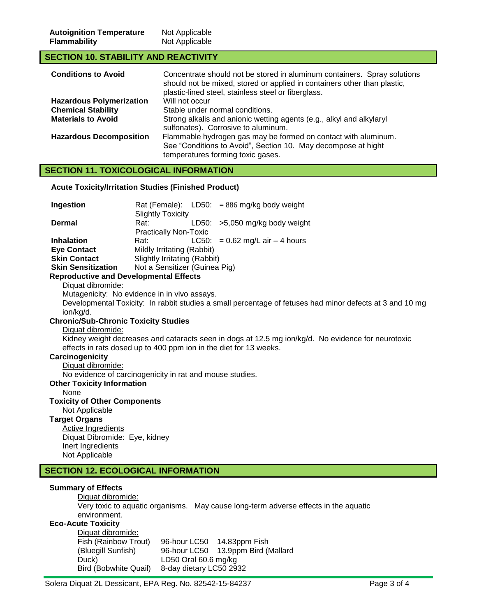# **SECTION 10. STABILITY AND REACTIVITY**

| <b>Conditions to Avoid</b>      | Concentrate should not be stored in aluminum containers. Spray solutions<br>should not be mixed, stored or applied in containers other than plastic,<br>plastic-lined steel, stainless steel or fiberglass. |  |  |
|---------------------------------|-------------------------------------------------------------------------------------------------------------------------------------------------------------------------------------------------------------|--|--|
| <b>Hazardous Polymerization</b> | Will not occur                                                                                                                                                                                              |  |  |
| <b>Chemical Stability</b>       | Stable under normal conditions.                                                                                                                                                                             |  |  |
| <b>Materials to Avoid</b>       | Strong alkalis and anionic wetting agents (e.g., alkyl and alkylaryl<br>sulfonates). Corrosive to aluminum.                                                                                                 |  |  |
| <b>Hazardous Decomposition</b>  | Flammable hydrogen gas may be formed on contact with aluminum.<br>See "Conditions to Avoid", Section 10. May decompose at hight<br>temperatures forming toxic gases.                                        |  |  |

# **SECTION 11. TOXICOLOGICAL INFORMATION**

### **Acute Toxicity/Irritation Studies (Finished Product)**

| Ingestion                                     |                               |  | Rat (Female): $LD50: = 886$ mg/kg body weight |  |
|-----------------------------------------------|-------------------------------|--|-----------------------------------------------|--|
|                                               | Slightly Toxicity             |  |                                               |  |
| <b>Dermal</b>                                 | Rat:                          |  | LD50: $>5,050$ mg/kg body weight              |  |
|                                               | <b>Practically Non-Toxic</b>  |  |                                               |  |
| <b>Inhalation</b>                             | Rat:                          |  | LC50: = $0.62$ mg/L air $-$ 4 hours           |  |
| <b>Eye Contact</b>                            | Mildly Irritating (Rabbit)    |  |                                               |  |
| <b>Skin Contact</b>                           | Slightly Irritating (Rabbit)  |  |                                               |  |
| <b>Skin Sensitization</b>                     | Not a Sensitizer (Guinea Pig) |  |                                               |  |
| <b>Reproductive and Developmental Effects</b> |                               |  |                                               |  |

# Diquat dibromide:

Mutagenicity: No evidence in in vivo assays.

Developmental Toxicity: In rabbit studies a small percentage of fetuses had minor defects at 3 and 10 mg ion/kg/d.

## **Chronic/Sub-Chronic Toxicity Studies**

Diquat dibromide:

Kidney weight decreases and cataracts seen in dogs at 12.5 mg ion/kg/d. No evidence for neurotoxic effects in rats dosed up to 400 ppm ion in the diet for 13 weeks.

# **Carcinogenicity**

Diquat dibromide:

No evidence of carcinogenicity in rat and mouse studies.

### **Other Toxicity Information**

None

#### **Toxicity of Other Components**

Not Applicable

# **Target Organs**

Active Ingredients Diquat Dibromide: Eye, kidney Inert Ingredients Not Applicable

# **SECTION 12. ECOLOGICAL INFORMATION**

## **Summary of Effects**

Diquat dibromide:

Very toxic to aquatic organisms. May cause long-term adverse effects in the aquatic environment.

#### **Eco-Acute Toxicity**

Diquat dibromide: Fish (Rainbow Trout) 96-hour LC50 14.83ppm Fish (Bluegill Sunfish) 96-hour LC50 13.9ppm Bird (Mallard Duck) LD50 Oral 60.6 mg/kg<br>Bird (Bobwhite Quail) 8-day dietary LC50 293 8-day dietary LC50 2932